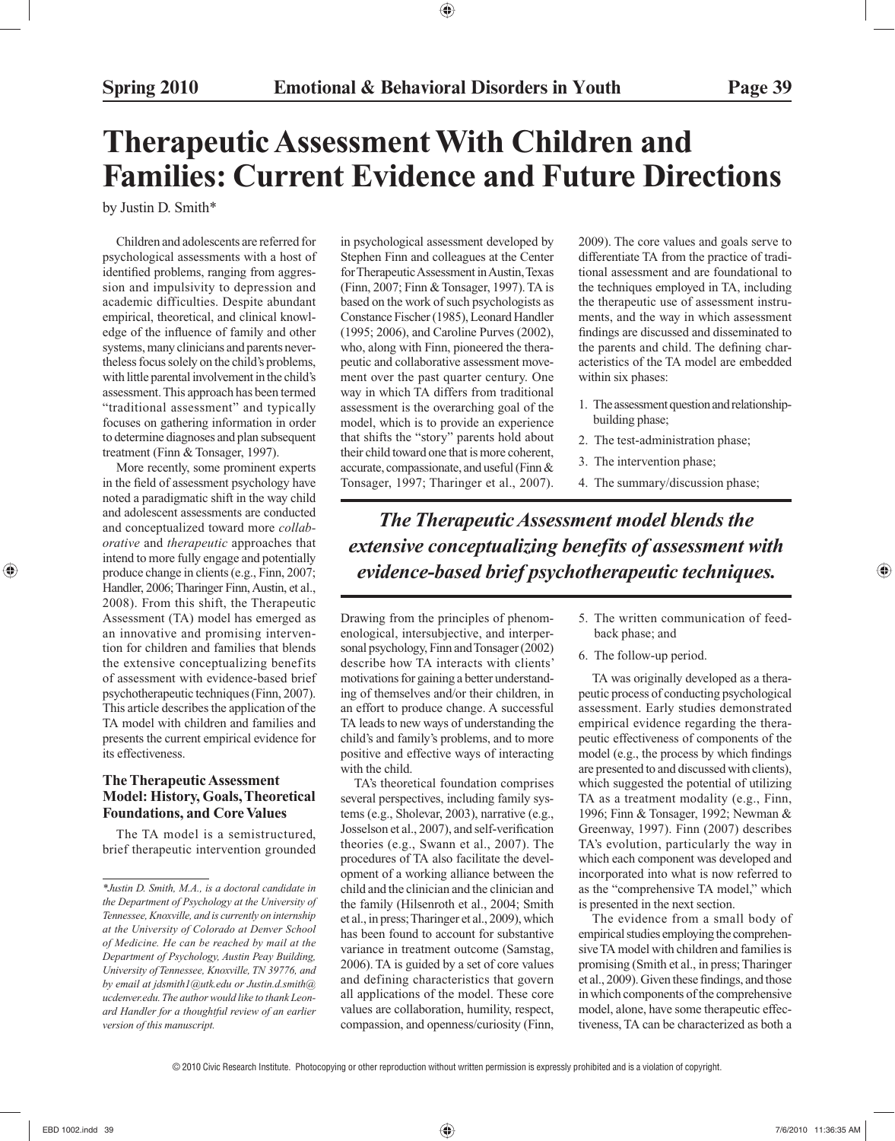# **Therapeutic Assessment With Children and Families: Current Evidence and Future Directions**

by Justin D. Smith\*

 Children and adolescents are referred for psychological assessments with a host of identified problems, ranging from aggression and impulsivity to depression and academic difficulties. Despite abundant empirical, theoretical, and clinical knowledge of the influence of family and other systems, many clinicians and parents nevertheless focus solely on the child's problems, with little parental involvement in the child's assessment. This approach has been termed "traditional assessment" and typically focuses on gathering information in order to determine diagnoses and plan subsequent treatment (Finn & Tonsager, 1997).

 More recently, some prominent experts in the field of assessment psychology have noted a paradigmatic shift in the way child and adolescent assessments are conducted and conceptualized toward more *collaborative* and *therapeutic* approaches that intend to more fully engage and potentially produce change in clients (e.g., Finn, 2007; Handler, 2006; Tharinger Finn, Austin, et al., 2008). From this shift, the Therapeutic Assessment (TA) model has emerged as an innovative and promising intervention for children and families that blends the extensive conceptualizing benefits of assessment with evidence-based brief psychotherapeutic techniques (Finn, 2007). This article describes the application of the TA model with children and families and presents the current empirical evidence for its effectiveness.

# **The Therapeutic Assessment Model: History, Goals, Theoretical Foundations, and Core Values**

 The TA model is a semistructured, brief therapeutic intervention grounded in psychological assessment developed by Stephen Finn and colleagues at the Center for Therapeutic Assessment in Austin, Texas (Finn, 2007; Finn & Tonsager, 1997). TA is based on the work of such psychologists as Constance Fischer (1985), Leonard Handler (1995; 2006), and Caroline Purves (2002), who, along with Finn, pioneered the therapeutic and collaborative assessment movement over the past quarter century. One way in which TA differs from traditional assessment is the overarching goal of the model, which is to provide an experience that shifts the "story" parents hold about their child toward one that is more coherent, accurate, compassionate, and useful (Finn & Tonsager, 1997; Tharinger et al., 2007).

*The Therapeutic Assessment model blends the extensive conceptualizing benefits of assessment with evidence-based brief psychotherapeutic techniques.*

Drawing from the principles of phenomenological, intersubjective, and interpersonal psychology, Finn and Tonsager (2002) describe how TA interacts with clients' motivations for gaining a better understanding of themselves and/or their children, in an effort to produce change. A successful TA leads to new ways of understanding the child's and family's problems, and to more positive and effective ways of interacting with the child.

 TA's theoretical foundation comprises several perspectives, including family systems (e.g., Sholevar, 2003), narrative (e.g., Josselson et al., 2007), and self-verification theories (e.g., Swann et al., 2007). The procedures of TA also facilitate the development of a working alliance between the child and the clinician and the clinician and the family (Hilsenroth et al., 2004; Smith et al., in press; Tharinger et al., 2009), which has been found to account for substantive variance in treatment outcome (Samstag, 2006). TA is guided by a set of core values and defining characteristics that govern all applications of the model. These core values are collaboration, humility, respect, compassion, and openness/curiosity (Finn,

 5. The written communication of feedback phase; and

2009). The core values and goals serve to differentiate TA from the practice of traditional assessment and are foundational to the techniques employed in TA, including the therapeutic use of assessment instruments, and the way in which assessment findings are discussed and disseminated to the parents and child. The defining characteristics of the TA model are embedded

1. The assessment question and relationship-

2. The test-administration phase;

4. The summary/discussion phase;

3. The intervention phase;

6. The follow-up period.

within six phases:

building phase;

 TA was originally developed as a therapeutic process of conducting psychological assessment. Early studies demonstrated empirical evidence regarding the therapeutic effectiveness of components of the model (e.g., the process by which findings are presented to and discussed with clients), which suggested the potential of utilizing TA as a treatment modality (e.g., Finn, 1996; Finn & Tonsager, 1992; Newman & Greenway, 1997). Finn (2007) describes TA's evolution, particularly the way in which each component was developed and incorporated into what is now referred to as the "comprehensive TA model," which is presented in the next section.

 The evidence from a small body of empirical studies employing the comprehensive TA model with children and families is promising (Smith et al., in press; Tharinger et al., 2009). Given these findings, and those in which components of the comprehensive model, alone, have some therapeutic effectiveness, TA can be characterized as both a

*<sup>\*</sup>Justin D. Smith, M.A., is a doctoral candidate in the Department of Psychology at the University of Tennessee, Knoxville, and is currently on internship at the University of Colorado at Denver School of Medicine. He can be reached by mail at the Department of Psychology, Austin Peay Building, University of Tennessee, Knoxville, TN 39776, and by email at jdsmith1@utk.edu or Justin.d.smith@ ucdenver.edu. The author would like to thank Leonard Handler for a thoughtful review of an earlier version of this manuscript.*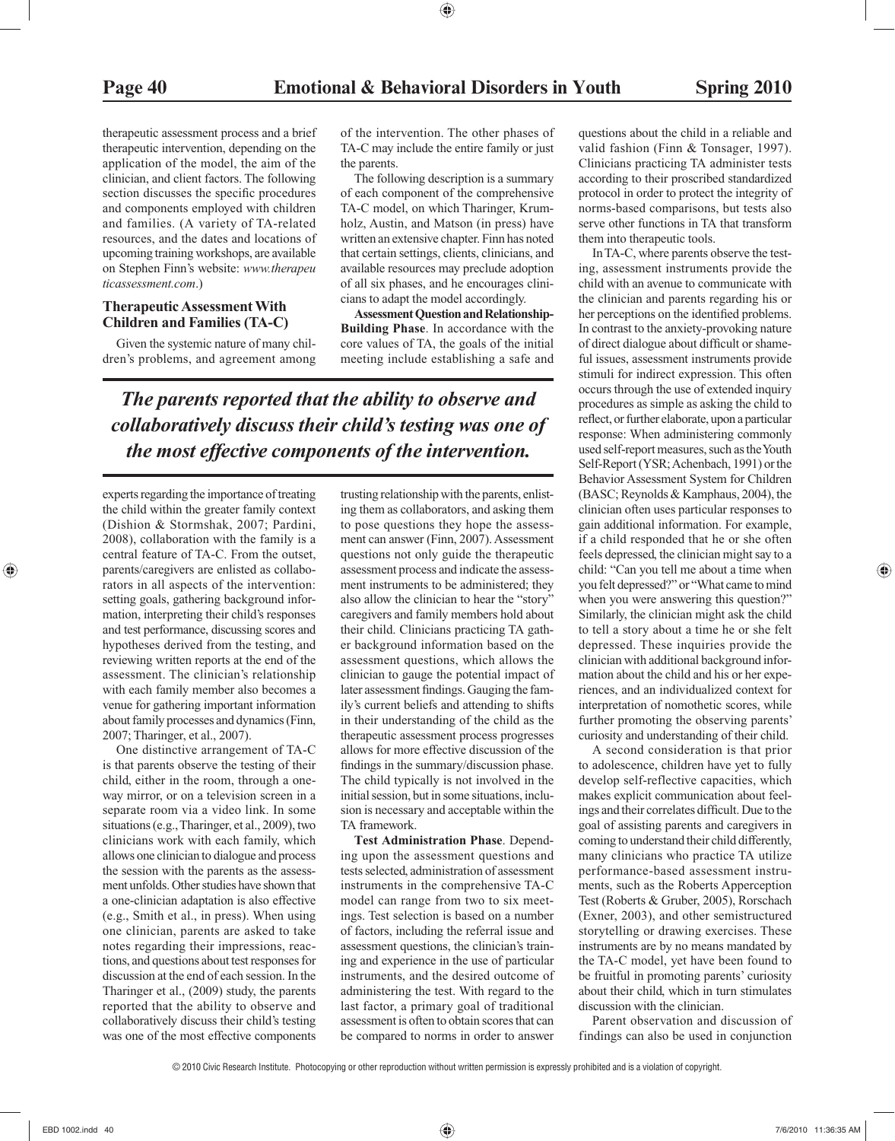therapeutic assessment process and a brief therapeutic intervention, depending on the application of the model, the aim of the clinician, and client factors. The following section discusses the specific procedures and components employed with children and families. (A variety of TA-related resources, and the dates and locations of upcoming training workshops, are available on Stephen Finn's website: *www.therapeu ticassessment.com* .)

## **Therapeutic Assessment With Children and Families (TA-C)**

 Given the systemic nature of many children's problems, and agreement among of the intervention. The other phases of TA-C may include the entire family or just the parents.

 The following description is a summary of each component of the comprehensive TA-C model, on which Tharinger, Krumholz, Austin, and Matson (in press) have written an extensive chapter. Finn has noted that certain settings, clients, clinicians, and available resources may preclude adoption of all six phases, and he encourages clinicians to adapt the model accordingly.

 **Assessment Question and Relationship-Building Phase**. In accordance with the core values of TA, the goals of the initial meeting include establishing a safe and

*The parents reported that the ability to observe and collaboratively discuss their child's testing was one of the most effective components of the intervention.*

experts regarding the importance of treating the child within the greater family context (Dishion & Stormshak, 2007; Pardini, 2008), collaboration with the family is a central feature of TA-C. From the outset, parents/caregivers are enlisted as collaborators in all aspects of the intervention: setting goals, gathering background information, interpreting their child's responses and test performance, discussing scores and hypotheses derived from the testing, and reviewing written reports at the end of the assessment. The clinician's relationship with each family member also becomes a venue for gathering important information about family processes and dynamics (Finn, 2007; Tharinger, et al., 2007).

 One distinctive arrangement of TA-C is that parents observe the testing of their child, either in the room, through a oneway mirror, or on a television screen in a separate room via a video link. In some situations (e.g., Tharinger, et al., 2009), two clinicians work with each family, which allows one clinician to dialogue and process the session with the parents as the assessment unfolds. Other studies have shown that a one-clinician adaptation is also effective (e.g., Smith et al., in press). When using one clinician, parents are asked to take notes regarding their impressions, reactions, and questions about test responses for discussion at the end of each session. In the Tharinger et al., (2009) study, the parents reported that the ability to observe and collaboratively discuss their child's testing was one of the most effective components

trusting relationship with the parents, enlisting them as collaborators, and asking them to pose questions they hope the assessment can answer (Finn, 2007). Assessment questions not only guide the therapeutic assessment process and indicate the assessment instruments to be administered; they also allow the clinician to hear the "story" caregivers and family members hold about their child. Clinicians practicing TA gather background information based on the assessment questions, which allows the clinician to gauge the potential impact of later assessment findings. Gauging the family's current beliefs and attending to shifts in their understanding of the child as the therapeutic assessment process progresses allows for more effective discussion of the findings in the summary/discussion phase. The child typically is not involved in the initial session, but in some situations, inclusion is necessary and acceptable within the TA framework.

 **Test Administration Phase**. Depending upon the assessment questions and tests selected, administration of assessment instruments in the comprehensive TA-C model can range from two to six meetings. Test selection is based on a number of factors, including the referral issue and assessment questions, the clinician's training and experience in the use of particular instruments, and the desired outcome of administering the test. With regard to the last factor, a primary goal of traditional assessment is often to obtain scores that can be compared to norms in order to answer

questions about the child in a reliable and valid fashion (Finn & Tonsager, 1997). Clinicians practicing TA administer tests according to their proscribed standardized protocol in order to protect the integrity of norms-based comparisons, but tests also serve other functions in TA that transform them into therapeutic tools.

 In TA-C, where parents observe the testing, assessment instruments provide the child with an avenue to communicate with the clinician and parents regarding his or her perceptions on the identified problems. In contrast to the anxiety-provoking nature of direct dialogue about difficult or shameful issues, assessment instruments provide stimuli for indirect expression. This often occurs through the use of extended inquiry procedures as simple as asking the child to reflect, or further elaborate, upon a particular response: When administering commonly used self-report measures, such as the Youth Self-Report (YSR; Achenbach, 1991) or the Behavior Assessment System for Children (BASC; Reynolds & Kamphaus, 2004), the clinician often uses particular responses to gain additional information. For example, if a child responded that he or she often feels depressed, the clinician might say to a child: "Can you tell me about a time when you felt depressed?" or "What came to mind when you were answering this question?" Similarly, the clinician might ask the child to tell a story about a time he or she felt depressed. These inquiries provide the clinician with additional background information about the child and his or her experiences, and an individualized context for interpretation of nomothetic scores, while further promoting the observing parents' curiosity and understanding of their child.

 A second consideration is that prior to adolescence, children have yet to fully develop self-reflective capacities, which makes explicit communication about feelings and their correlates difficult. Due to the goal of assisting parents and caregivers in coming to understand their child differently, many clinicians who practice TA utilize performance-based assessment instruments, such as the Roberts Apperception Test (Roberts & Gruber, 2005), Rorschach (Exner, 2003), and other semistructured storytelling or drawing exercises. These instruments are by no means mandated by the TA-C model, yet have been found to be fruitful in promoting parents' curiosity about their child, which in turn stimulates discussion with the clinician.

 Parent observation and discussion of findings can also be used in conjunction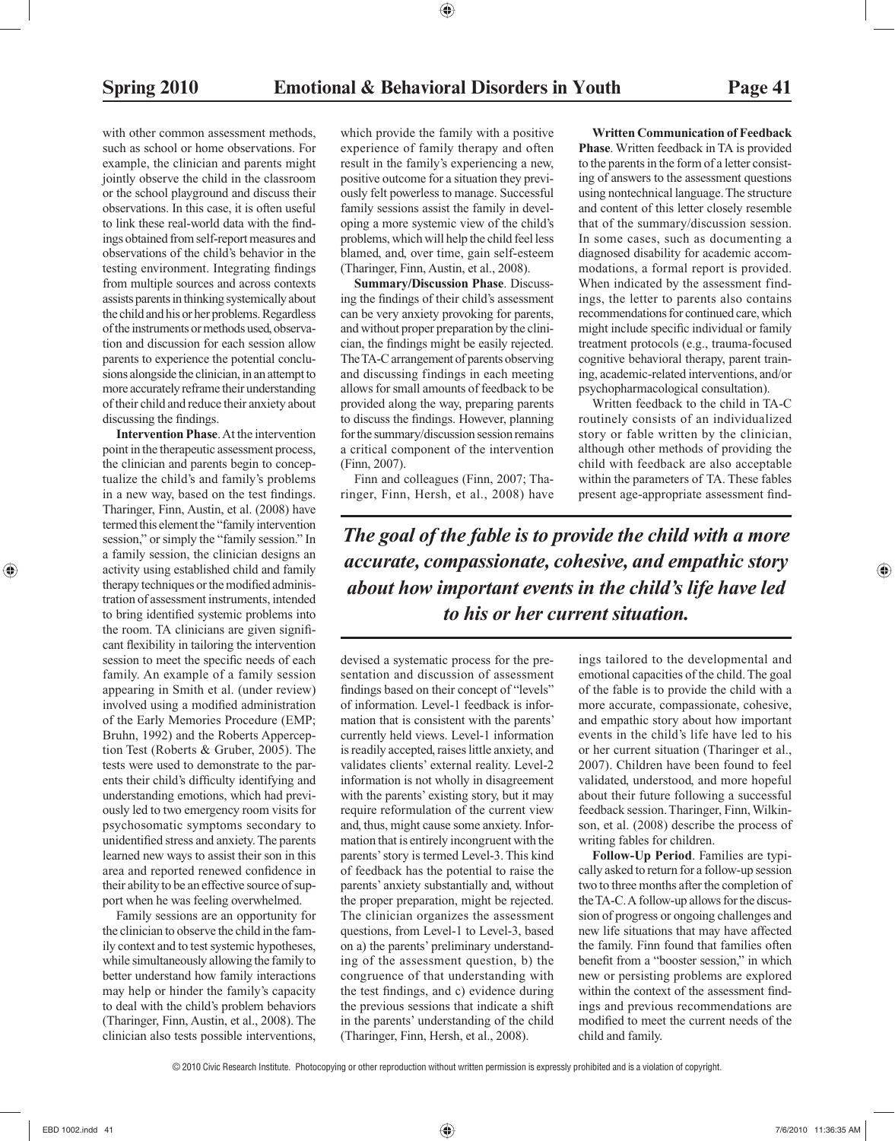with other common assessment methods. such as school or home observations. For example, the clinician and parents might jointly observe the child in the classroom or the school playground and discuss their observations. In this case, it is often useful to link these real-world data with the findings obtained from self-report measures and observations of the child's behavior in the testing environment. Integrating findings from multiple sources and across contexts assists parents in thinking systemically about the child and his or her problems. Regardless of the instruments or methods used, observation and discussion for each session allow parents to experience the potential conclusions alongside the clinician, in an attempt to more accurately reframe their understanding of their child and reduce their anxiety about discussing the findings.

 **Intervention Phase**. At the intervention point in the therapeutic assessment process, the clinician and parents begin to conceptualize the child's and family's problems in a new way, based on the test findings. Tharinger, Finn, Austin, et al. (2008) have termed this element the "family intervention session," or simply the "family session." In a family session, the clinician designs an activity using established child and family therapy techniques or the modified administration of assessment instruments, intended to bring identified systemic problems into the room. TA clinicians are given significant flexibility in tailoring the intervention session to meet the specific needs of each family. An example of a family session appearing in Smith et al. (under review) involved using a modified administration of the Early Memories Procedure (EMP; Bruhn, 1992) and the Roberts Apperception Test (Roberts & Gruber, 2005). The tests were used to demonstrate to the parents their child's difficulty identifying and understanding emotions, which had previously led to two emergency room visits for psychosomatic symptoms secondary to unidentified stress and anxiety. The parents learned new ways to assist their son in this area and reported renewed confidence in their ability to be an effective source of support when he was feeling overwhelmed.

 Family sessions are an opportunity for the clinician to observe the child in the family context and to test systemic hypotheses, while simultaneously allowing the family to better understand how family interactions may help or hinder the family's capacity to deal with the child's problem behaviors (Tharinger, Finn, Austin, et al., 2008). The clinician also tests possible interventions,

which provide the family with a positive experience of family therapy and often result in the family's experiencing a new, positive outcome for a situation they previously felt powerless to manage. Successful family sessions assist the family in developing a more systemic view of the child's problems, which will help the child feel less blamed, and, over time, gain self-esteem (Tharinger, Finn, Austin, et al., 2008).

 **Summary/Discussion Phase**. Discussing the findings of their child's assessment can be very anxiety provoking for parents, and without proper preparation by the clinician, the findings might be easily rejected. The TA-C arrangement of parents observing and discussing findings in each meeting allows for small amounts of feedback to be provided along the way, preparing parents to discuss the findings. However, planning for the summary/discussion session remains a critical component of the intervention (Finn, 2007).

 Finn and colleagues (Finn, 2007; Tharinger, Finn, Hersh, et al., 2008) have

 **Written Communication of Feedback Phase**. Written feedback in TA is provided to the parents in the form of a letter consisting of answers to the assessment questions using nontechnical language. The structure and content of this letter closely resemble that of the summary/discussion session. In some cases, such as documenting a diagnosed disability for academic accommodations, a formal report is provided. When indicated by the assessment findings, the letter to parents also contains recommendations for continued care, which might include specific individual or family treatment protocols (e.g., trauma-focused cognitive behavioral therapy, parent training, academic-related interventions, and/or psychopharmacological consultation).

 Written feedback to the child in TA-C routinely consists of an individualized story or fable written by the clinician, although other methods of providing the child with feedback are also acceptable within the parameters of TA. These fables present age-appropriate assessment find-

*The goal of the fable is to provide the child with a more accurate, compassionate, cohesive, and empathic story about how important events in the child's life have led to his or her current situation.*

devised a systematic process for the presentation and discussion of assessment findings based on their concept of "levels" of information. Level-1 feedback is information that is consistent with the parents' currently held views. Level-1 information is readily accepted, raises little anxiety, and validates clients' external reality. Level-2 information is not wholly in disagreement with the parents' existing story, but it may require reformulation of the current view and, thus, might cause some anxiety. Information that is entirely incongruent with the parents' story is termed Level-3. This kind of feedback has the potential to raise the parents' anxiety substantially and, without the proper preparation, might be rejected. The clinician organizes the assessment questions, from Level-1 to Level-3, based on a) the parents' preliminary understanding of the assessment question, b) the congruence of that understanding with the test findings, and c) evidence during the previous sessions that indicate a shift in the parents' understanding of the child (Tharinger, Finn, Hersh, et al., 2008).

ings tailored to the developmental and emotional capacities of the child. The goal of the fable is to provide the child with a more accurate, compassionate, cohesive, and empathic story about how important events in the child's life have led to his or her current situation (Tharinger et al., 2007). Children have been found to feel validated, understood, and more hopeful about their future following a successful feedback session. Tharinger, Finn, Wilkinson, et al. (2008) describe the process of writing fables for children.

 **Follow-Up Period**. Families are typically asked to return for a follow-up session two to three months after the completion of the TA-C. A follow-up allows for the discussion of progress or ongoing challenges and new life situations that may have affected the family. Finn found that families often benefit from a "booster session," in which new or persisting problems are explored within the context of the assessment findings and previous recommendations are modified to meet the current needs of the child and family.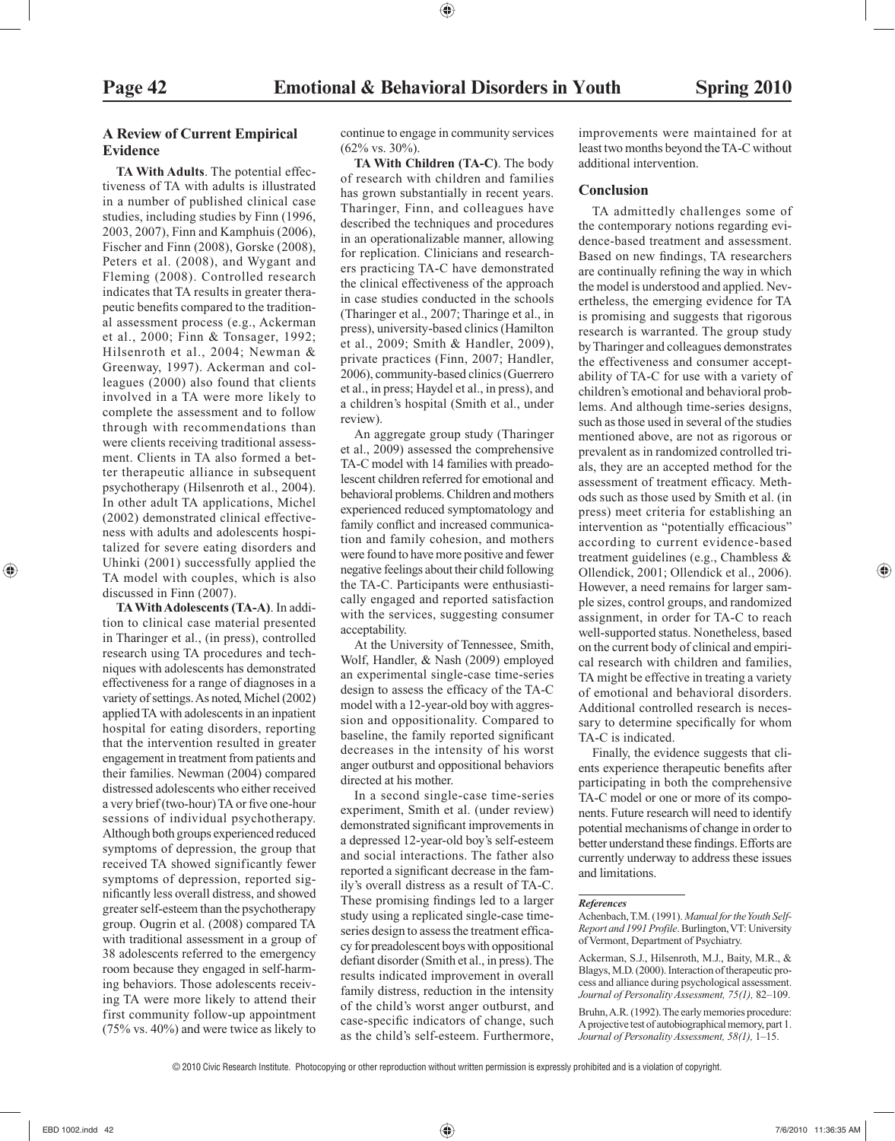# **A Review of Current Empirical Evidence**

 **TA With Adults**. The potential effectiveness of TA with adults is illustrated in a number of published clinical case studies, including studies by Finn (1996, 2003, 2007), Finn and Kamphuis (2006), Fischer and Finn (2008), Gorske (2008), Peters et al. (2008), and Wygant and Fleming (2008). Controlled research indicates that TA results in greater therapeutic benefits compared to the traditional assessment process (e.g., Ackerman et al., 2000; Finn & Tonsager, 1992; Hilsenroth et al., 2004; Newman & Greenway, 1997). Ackerman and colleagues (2000) also found that clients involved in a TA were more likely to complete the assessment and to follow through with recommendations than were clients receiving traditional assessment. Clients in TA also formed a better therapeutic alliance in subsequent psychotherapy (Hilsenroth et al., 2004). In other adult TA applications, Michel (2002) demonstrated clinical effectiveness with adults and adolescents hospitalized for severe eating disorders and Uhinki (2001) successfully applied the TA model with couples, which is also discussed in Finn (2007).

 **TA With Adolescents (TA-A)**. In addition to clinical case material presented in Tharinger et al., (in press), controlled research using TA procedures and techniques with adolescents has demonstrated effectiveness for a range of diagnoses in a variety of settings. As noted, Michel (2002) applied TA with adolescents in an inpatient hospital for eating disorders, reporting that the intervention resulted in greater engagement in treatment from patients and their families. Newman (2004) compared distressed adolescents who either received a very brief (two-hour) TA or five one-hour sessions of individual psychotherapy. Although both groups experienced reduced symptoms of depression, the group that received TA showed significantly fewer symptoms of depression, reported significantly less overall distress, and showed greater self-esteem than the psychotherapy group. Ougrin et al. (2008) compared TA with traditional assessment in a group of 38 adolescents referred to the emergency room because they engaged in self-harming behaviors. Those adolescents receiving TA were more likely to attend their first community follow-up appointment (75% vs. 40%) and were twice as likely to

continue to engage in community services  $(62\% \text{ vs. } 30\%).$ 

 **TA With Children (TA-C)**. The body of research with children and families has grown substantially in recent years. Tharinger, Finn, and colleagues have described the techniques and procedures in an operationalizable manner, allowing for replication. Clinicians and researchers practicing TA-C have demonstrated the clinical effectiveness of the approach in case studies conducted in the schools (Tharinger et al., 2007; Tharinge et al., in press), university-based clinics (Hamilton et al., 2009; Smith & Handler, 2009), private practices (Finn, 2007; Handler, 2006), community-based clinics (Guerrero et al., in press; Haydel et al., in press), and a children's hospital (Smith et al., under review).

 An aggregate group study (Tharinger et al., 2009) assessed the comprehensive TA-C model with 14 families with preadolescent children referred for emotional and behavioral problems. Children and mothers experienced reduced symptomatology and family conflict and increased communication and family cohesion, and mothers were found to have more positive and fewer negative feelings about their child following the TA-C. Participants were enthusiastically engaged and reported satisfaction with the services, suggesting consumer acceptability.

 At the University of Tennessee, Smith, Wolf, Handler, & Nash (2009) employed an experimental single-case time-series design to assess the efficacy of the TA-C model with a 12-year-old boy with aggression and oppositionality. Compared to baseline, the family reported significant decreases in the intensity of his worst anger outburst and oppositional behaviors directed at his mother.

 In a second single-case time-series experiment, Smith et al. (under review) demonstrated significant improvements in a depressed 12-year-old boy's self-esteem and social interactions. The father also reported a significant decrease in the family's overall distress as a result of TA-C. These promising findings led to a larger study using a replicated single-case timeseries design to assess the treatment efficacy for preadolescent boys with oppositional defiant disorder (Smith et al., in press). The results indicated improvement in overall family distress, reduction in the intensity of the child's worst anger outburst, and case-specific indicators of change, such as the child's self-esteem. Furthermore,

improvements were maintained for at least two months beyond the TA-C without additional intervention.

### **Conclusion**

 TA admittedly challenges some of the contemporary notions regarding evidence-based treatment and assessment. Based on new findings, TA researchers are continually refining the way in which the model is understood and applied. Nevertheless, the emerging evidence for TA is promising and suggests that rigorous research is warranted. The group study by Tharinger and colleagues demonstrates the effectiveness and consumer acceptability of TA-C for use with a variety of children's emotional and behavioral problems. And although time-series designs, such as those used in several of the studies mentioned above, are not as rigorous or prevalent as in randomized controlled trials, they are an accepted method for the assessment of treatment efficacy. Methods such as those used by Smith et al. (in press) meet criteria for establishing an intervention as "potentially efficacious" according to current evidence-based treatment guidelines (e.g., Chambless & Ollendick, 2001; Ollendick et al., 2006). However, a need remains for larger sample sizes, control groups, and randomized assignment, in order for TA-C to reach well-supported status. Nonetheless, based on the current body of clinical and empirical research with children and families, TA might be effective in treating a variety of emotional and behavioral disorders. Additional controlled research is necessary to determine specifically for whom TA-C is indicated.

 Finally, the evidence suggests that clients experience therapeutic benefits after participating in both the comprehensive TA-C model or one or more of its components. Future research will need to identify potential mechanisms of change in order to better understand these findings. Efforts are currently underway to address these issues and limitations.

#### *References*

 Achenbach, T.M. (1991). *Manual for the Youth Self-Report and 1991 Profile* . Burlington, VT: University of Vermont, Department of Psychiatry.

 Ackerman, S.J., Hilsenroth, M.J., Baity, M.R., & Blagys, M.D. (2000). Interaction of therapeutic process and alliance during psychological assessment. *Journal of Personality Assessment, 75(1),* 82–109.

 Bruhn, A.R. (1992). The early memories procedure: A projective test of autobiographical memory, part 1. *Journal of Personality Assessment, 58(1),* 1–15.